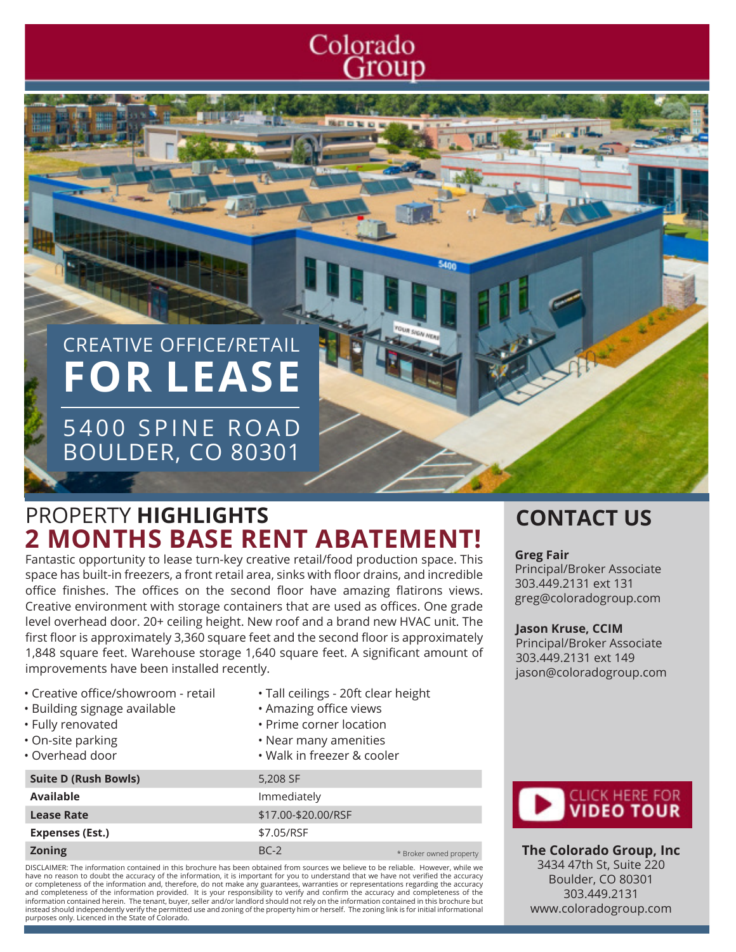# Colorado

# CREATIVE OFFICE/RETAIL **FOR LEASE**

5400 SPINE ROAD BOULDER, CO 80301

# PROPERTY **HIGHLIGHTS CONTACT US 2 MONTHS BASE RENT ABATEMENT!**

Fantastic opportunity to lease turn-key creative retail/food production space. This space has built-in freezers, a front retail area, sinks with floor drains, and incredible office finishes. The offices on the second floor have amazing flatirons views. Creative environment with storage containers that are used as offices. One grade level overhead door. 20+ ceiling height. New roof and a brand new HVAC unit. The first floor is approximately 3,360 square feet and the second floor is approximately 1,848 square feet. Warehouse storage 1,640 square feet. A significant amount of improvements have been installed recently.

• Tall ceilings - 20ft clear height

• Amazing office views • Prime corner location • Near many amenities • Walk in freezer & cooler

- Creative office/showroom retail • Building signage available
- Fully renovated
- On-site parking
- Overhead door

| <b>Suite D (Rush Bowls)</b> | 5,208 SF            |                         |
|-----------------------------|---------------------|-------------------------|
| Available                   | Immediately         |                         |
| <b>Lease Rate</b>           | \$17.00-\$20.00/RSF |                         |
| <b>Expenses (Est.)</b>      | \$7.05/RSF          |                         |
| <b>Zoning</b>               | $BC-2$              | * Broker owned property |
|                             |                     |                         |

DISCLAIMER: The information contained in this brochure has been obtained from sources we believe to be reliable. However, while we have no reason to doubt the accuracy of the information, it is important for you to understand that we have not verified the accuracy or completeness of the information and, therefore, do not make any guarantees, warranties or representations regarding the accuracy<br>and completeness of the information provided. It is your responsibility to verify and con information contained herein. The tenant, buyer, seller and/or landlord should not rely on the information contained in this brochure but instead should independently verify the permitted use and zoning of the property him or herself. The zoning link is for initial informational purposes only. Licenced in the State of Colorado.

#### **Greg Fair**

Principal/Broker Associate 303.449.2131 ext 131 greg@coloradogroup.com

#### **Jason Kruse, CCIM**

Principal/Broker Associate 303.449.2131 ext 149 jason@coloradogroup.com



**The Colorado Group, Inc** 3434 47th St, Suite 220 Boulder, CO 80301 303.449.2131 www.coloradogroup.com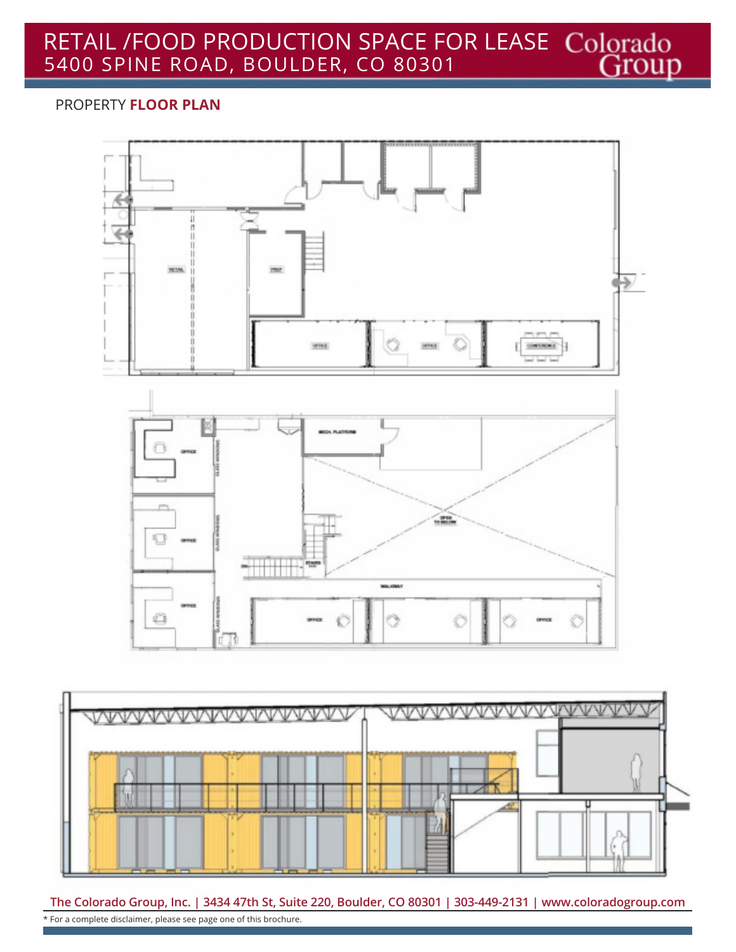# RETAIL /FOOD PRODUCTION SPACE FOR LEASE 5400 SPINE ROAD, BOULDER, CO 80301

#### PROPERTY **FLOOR PLAN**





**The Colorado Group, Inc. | 3434 47th St, Suite 220, Boulder, CO 80301 | 303-449-2131 | www.coloradogroup.com** \* For a complete disclaimer, please see page one of this brochure.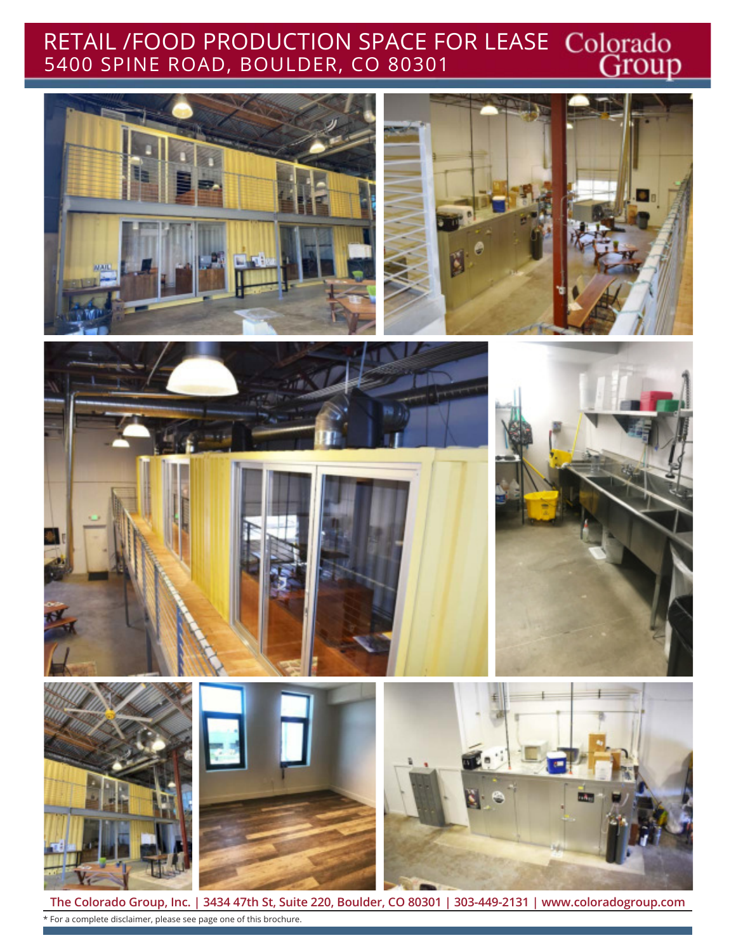### RETAIL /FOOD PRODUCTION SPACE FOR LEASE 5400 SPINE ROAD, BOULDER, CO 80301





**The Colorado Group, Inc. | 3434 47th St, Suite 220, Boulder, CO 80301 | 303-449-2131 | www.coloradogroup.com** \* For a complete disclaimer, please see page one of this brochure.